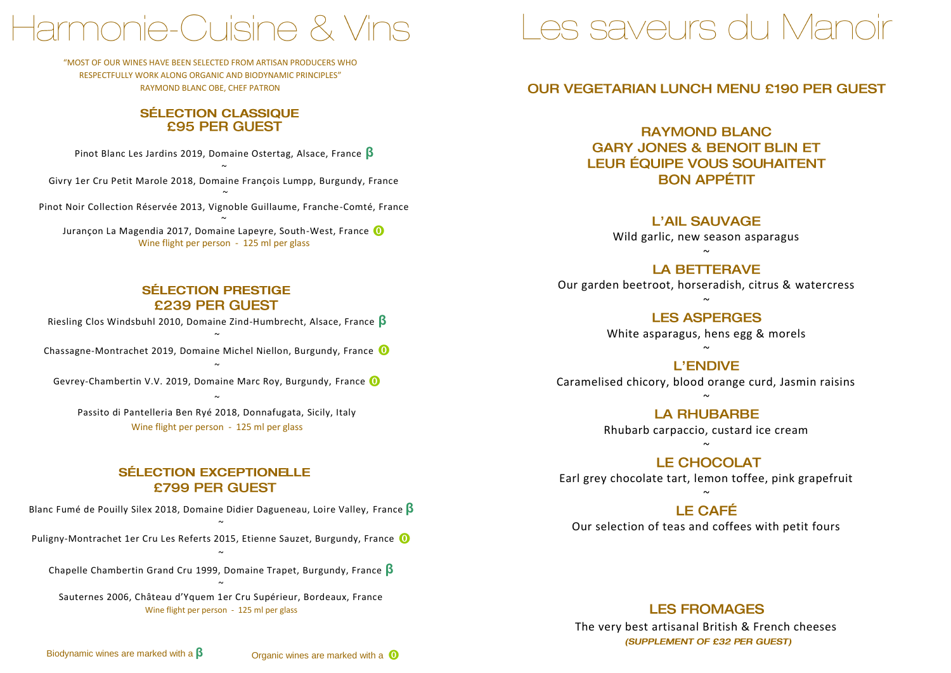# Harmonie-Cuisine & Vins

"MOST OF OUR WINES HAVE BEEN SELECTED FROM ARTISAN PRODUCERS WHO RESPECTFULLY WORK ALONG ORGANIC AND BIODYNAMIC PRINCIPLES" RAYMOND BLANC OBE, CHEF PATRON

# SÉLECTION CLASSIQUE<br>£95 PER GUEST

Pinot Blanc Les Jardins 2019, Domaine Ostertag, Alsace, France **β**

 $\tilde{ }$ Givry 1er Cru Petit Marole 2018, Domaine François Lumpp, Burgundy, France

~ Pinot Noir Collection Réservée 2013, Vignoble Guillaume, Franche-Comté, France

~ Jurançon La Magendia 2017, Domaine Lapeyre, South-West, France O Wine flight per person - 125 ml per glass

### **SÉLECTION PRESTIGE £239 PER GUEST**

Riesling Clos Windsbuhl 2010, Domaine Zind-Humbrecht, Alsace, France **β**

 $\tilde{ }$ Chassagne-Montrachet 2019, Domaine Michel Niellon, Burgundy, France

 $\sim$ Gevrey-Chambertin V.V. 2019, Domaine Marc Roy, Burgundy, France  $\tilde{ }$ 

Passito di Pantelleria Ben Ryé 2018, Donnafugata, Sicily, Italy Wine flight per person - 125 ml per glass

### **SÉLECTION EXCEPTIONELLE** £799 PER GUEST

Blanc Fumé de Pouilly Silex 2018, Domaine Didier Dagueneau, Loire Valley, France **β**  $\tilde{ }$ 

Puligny-Montrachet 1er Cru Les Referts 2015, Etienne Sauzet, Burgundy, France O

 $\tilde{ }$ Chapelle Chambertin Grand Cru 1999, Domaine Trapet, Burgundy, France **β**  $\ddot{\phantom{0}}$ 

Sauternes 2006, Château d'Yquem 1er Cru Supérieur, Bordeaux, France Wine flight per person - 125 ml per glass

# Les saveurs du Manoir

# **OUR VEGETARIAN LUNCH MENU £190 PER GUEST**

**RAYMOND BLANC GARY JONES & BENOIT BLIN ET LEUR ÉQUIPE VOUS SOUHAITENT BON APPÉTIT** 

**L'AIL SAUVAGE** 

Wild garlic, new season asparagus  $\sim$ 

**LA BETTERAVE** 

Our garden beetroot, horseradish, citrus & watercress  $\sim$ 

**LES ASPERGES** 

White asparagus, hens egg & morels  $\sim$ 

**L'ENDIVE** 

Caramelised chicory, blood orange curd, Jasmin raisins  $\sim$ 

> **LA RHUBARBE** Rhubarb carpaccio, custard ice cream

**LE CHOCOLAT** Earl grey chocolate tart, lemon toffee, pink grapefruit

 $\sim$ 

### $\ddot{\phantom{0}}$ LE CAFÉ

Our selection of teas and coffees with petit fours

**LES FROMAGES** 

The very best artisanal British & French cheeses (SUPPLEMENT OF £32 PER GUEST)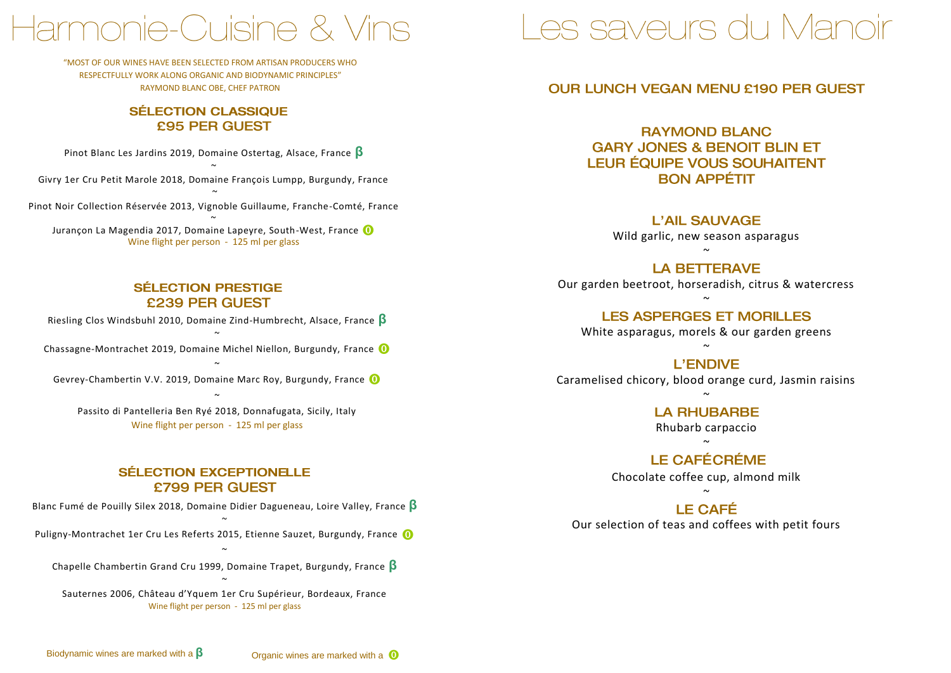# larmonie-Cuisine & Vins

"MOST OF OUR WINES HAVE BEEN SELECTED FROM ARTISAN PRODUCERS WHO RESPECTFULLY WORK ALONG ORGANIC AND BIODYNAMIC PRINCIPLES" RAYMOND BLANC OBE, CHEF PATRON

# SÉLECTION CLASSIQUE<br>£95 PER GUEST

Pinot Blanc Les Jardins 2019, Domaine Ostertag, Alsace, France **β**

~ Givry 1er Cru Petit Marole 2018, Domaine François Lumpp, Burgundy, France

 $\tilde{ }$ Pinot Noir Collection Réservée 2013, Vignoble Guillaume, Franche-Comté, France

~ Jurançon La Magendia 2017, Domaine Lapeyre, South-West, France O Wine flight per person - 125 ml per glass

### **SÉLECTION PRESTIGE** £239 PER GUEST

Riesling Clos Windsbuhl 2010, Domaine Zind-Humbrecht, Alsace, France **β**

 $\tilde{ }$ Chassagne-Montrachet 2019, Domaine Michel Niellon, Burgundy, France

~ Gevrey-Chambertin V.V. 2019, Domaine Marc Roy, Burgundy, France

 $\tilde{ }$ Passito di Pantelleria Ben Ryé 2018, Donnafugata, Sicily, Italy Wine flight per person - 125 ml per glass

### **SÉLECTION EXCEPTIONELLE** £799 PER GUEST

Blanc Fumé de Pouilly Silex 2018, Domaine Didier Dagueneau, Loire Valley, France **β**

 $\tilde{ }$ Puligny-Montrachet 1er Cru Les Referts 2015, Etienne Sauzet, Burgundy, France O

 $\ddot{\phantom{0}}$ Chapelle Chambertin Grand Cru 1999, Domaine Trapet, Burgundy, France **β**  $\tilde{ }$ 

Sauternes 2006, Château d'Yquem 1er Cru Supérieur, Bordeaux, France Wine flight per person - 125 ml per glass

# Les saveurs du Manoir

### **OUR LUNCH VEGAN MENU £190 PER GUEST**

**RAYMOND BLANC GARY JONES & BENOIT BLIN ET LEUR ÉQUIPE VOUS SOUHAITENT BON APPÉTIT** 

> **L'AIL SAUVAGE** Wild garlic, new season asparagus

 $\sim$ 

**LA BETTERAVE** Our garden beetroot, horseradish, citrus & watercress

 $\sim$ **LES ASPERGES ET MORILLES** White asparagus, morels & our garden greens

 $\sim$ **L'ENDIVE** 

Caramelised chicory, blood orange curd, Jasmin raisins  $\sim$ 

> **LA RHUBARBE** Rhubarb carpaccio

 $\sim$ Chocolate coffee cup, almond milk

 $\sim$ 

**LE CAFÉ** Our selection of teas and coffees with petit fours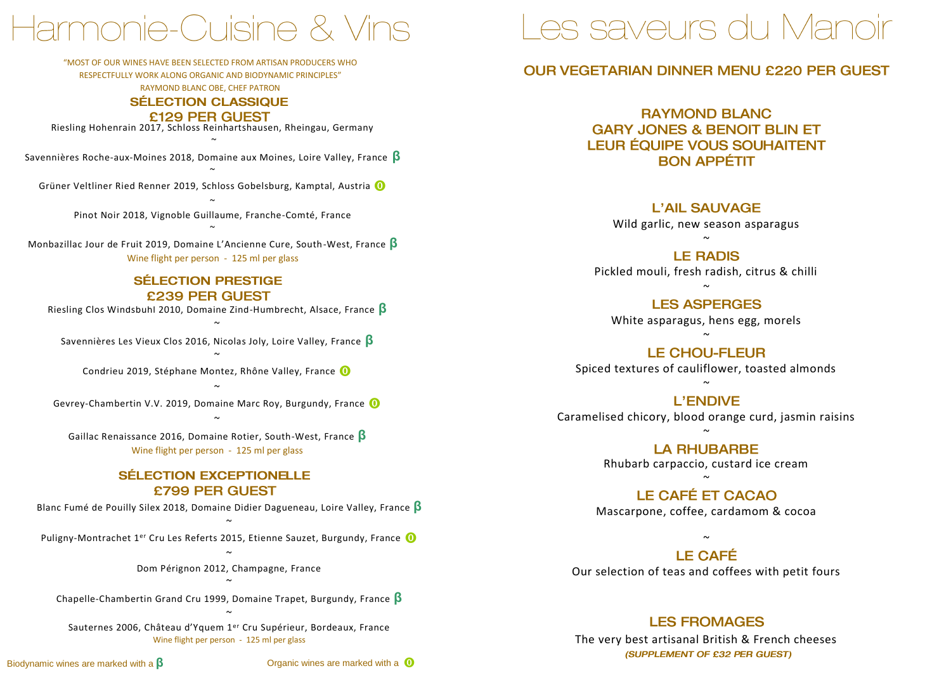# Harmonie-Cuisine & Vins

"MOST OF OUR WINES HAVE BEEN SELECTED FROM ARTISAN PRODUCERS WHO

RESPECTFULLY WORK ALONG ORGANIC AND BIODYNAMIC PRINCIPLES"

RAYMOND BLANC OBE, CHEF PATRON

# **SÉLECTION CLASSIQUE**

#### £129 PER GUEST

Riesling Hohenrain 2017, Schloss Reinhartshausen, Rheingau, Germany ~

Savennières Roche-aux-Moines 2018, Domaine aux Moines, Loire Valley, France **β** ~

Grüner Veltliner Ried Renner 2019, Schloss Gobelsburg, Kamptal, Austria

~ Pinot Noir 2018, Vignoble Guillaume, Franche-Comté, France ~

Monbazillac Jour de Fruit 2019, Domaine L'Ancienne Cure, South-West, France **β** Wine flight per person - 125 ml per glass

#### **SÉLECTION PRESTIGE** £239 PER GUEST

Riesling Clos Windsbuhl 2010, Domaine Zind-Humbrecht, Alsace, France **β**  $\sim$ 

Savennières Les Vieux Clos 2016, Nicolas Joly, Loire Valley, France **β**

 $\sim$ Condrieu 2019, Stéphane Montez, Rhône Valley, France O

 $\sim$ Gevrey-Chambertin V.V. 2019, Domaine Marc Roy, Burgundy, France  $\sim$ 

Gaillac Renaissance 2016, Domaine Rotier, South-West, France **β** Wine flight per person - 125 ml per glass

### **SÉLECTION EXCEPTIONELLE** £799 PER GUEST

Blanc Fumé de Pouilly Silex 2018, Domaine Didier Dagueneau, Loire Valley, France **β**  $\sim$ 

Puligny-Montrachet 1<sup>er</sup> Cru Les Referts 2015, Etienne Sauzet, Burgundy, France **O** 

 $\sim$ Dom Pérignon 2012, Champagne, France  $\sim$ 

Chapelle-Chambertin Grand Cru 1999, Domaine Trapet, Burgundy, France **β**  $\sim$ 

Sauternes 2006, Château d'Yquem 1er Cru Supérieur, Bordeaux, France Wine flight per person - 125 ml per glass

Biodynamic wines are marked with a **β** Organic wines are marked with a

# Les saveurs du Manoir

### **OUR VEGETARIAN DINNER MENU £220 PER GUEST**

**RAYMOND BLANC GARY JONES & BENOIT BLIN ET LEUR ÉQUIPE VOUS SOUHAITENT BON APPÉTIT** 

> **L'AIL SAUVAGE** Wild garlic, new season asparagus

 $\sim$ **LE RADIS** Pickled mouli, fresh radish, citrus & chilli

 $\sim$ **LES ASPERGES** White asparagus, hens egg, morels

**LE CHOU-FLEUR** Spiced textures of cauliflower, toasted almonds

 $\sim$ 

 $\sim$ 

**L'ENDIVE** Caramelised chicory, blood orange curd, jasmin raisins

> $\sim$ **LA RHUBARBE** Rhubarb carpaccio, custard ice cream

Mascarpone, coffee, cardamom & cocoa

 $\sim$ 

 $\ddot{\phantom{0}}$ **LE CAFÉ** Our selection of teas and coffees with petit fours

**LES FROMAGES** 

The very best artisanal British & French cheeses (SUPPLEMENT OF £32 PER GUEST)